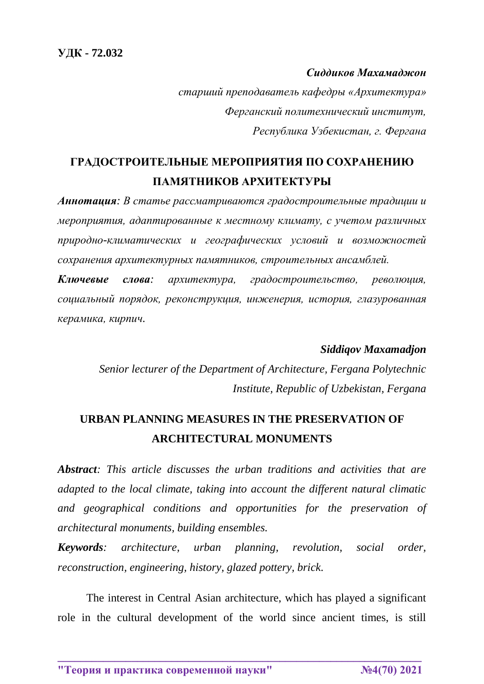*Сиддиков Махамаджон*

*старший преподаватель кафедры «Архитектура» Ферганский политехнический институт, Республика Узбекистан, г. Фергана*

## **ГРАДОСТРОИТЕЛЬНЫЕ МЕРОПРИЯТИЯ ПО СОХРАНЕНИЮ ПАМЯТНИКОВ АРХИТЕКТУРЫ**

*Аннотация: В статье рассматриваются градостроительные традиции и мероприятия, адаптированные к местному климату, с учетом различных природно-климатических и географических условий и возможностей сохранения архитектурных памятников, строительных ансамблей.*

*Ключевые слова: архитектура, градостроительство, революция, социальный порядок, реконструкция, инженерия, история, глазурованная керамика, кирпич.*

## *Siddiqov Maxamadjon*

*Senior lecturer of the Department of Architecture, Fergana Polytechnic Institute, Republic of Uzbekistan, Fergana*

## **URBAN PLANNING MEASURES IN THE PRESERVATION OF ARCHITECTURAL MONUMENTS**

*Abstract: This article discusses the urban traditions and activities that are adapted to the local climate, taking into account the different natural climatic and geographical conditions and opportunities for the preservation of architectural monuments, building ensembles.*

*Keywords: architecture, urban planning, revolution, social order, reconstruction, engineering, history, glazed pottery, brick.*

The interest in Central Asian architecture, which has played a significant role in the cultural development of the world since ancient times, is still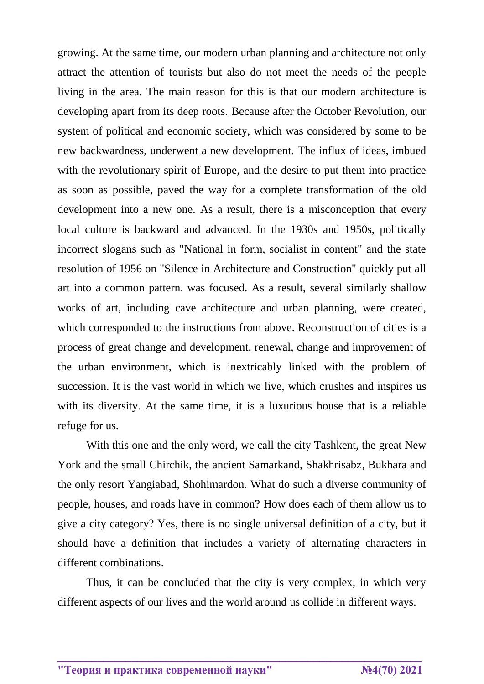growing. At the same time, our modern urban planning and architecture not only attract the attention of tourists but also do not meet the needs of the people living in the area. The main reason for this is that our modern architecture is developing apart from its deep roots. Because after the October Revolution, our system of political and economic society, which was considered by some to be new backwardness, underwent a new development. The influx of ideas, imbued with the revolutionary spirit of Europe, and the desire to put them into practice as soon as possible, paved the way for a complete transformation of the old development into a new one. As a result, there is a misconception that every local culture is backward and advanced. In the 1930s and 1950s, politically incorrect slogans such as "National in form, socialist in content" and the state resolution of 1956 on "Silence in Architecture and Construction" quickly put all art into a common pattern. was focused. As a result, several similarly shallow works of art, including cave architecture and urban planning, were created, which corresponded to the instructions from above. Reconstruction of cities is a process of great change and development, renewal, change and improvement of the urban environment, which is inextricably linked with the problem of succession. It is the vast world in which we live, which crushes and inspires us with its diversity. At the same time, it is a luxurious house that is a reliable refuge for us.

With this one and the only word, we call the city Tashkent, the great New York and the small Chirchik, the ancient Samarkand, Shakhrisabz, Bukhara and the only resort Yangiabad, Shohimardon. What do such a diverse community of people, houses, and roads have in common? How does each of them allow us to give a city category? Yes, there is no single universal definition of a city, but it should have a definition that includes a variety of alternating characters in different combinations.

Thus, it can be concluded that the city is very complex, in which very different aspects of our lives and the world around us collide in different ways.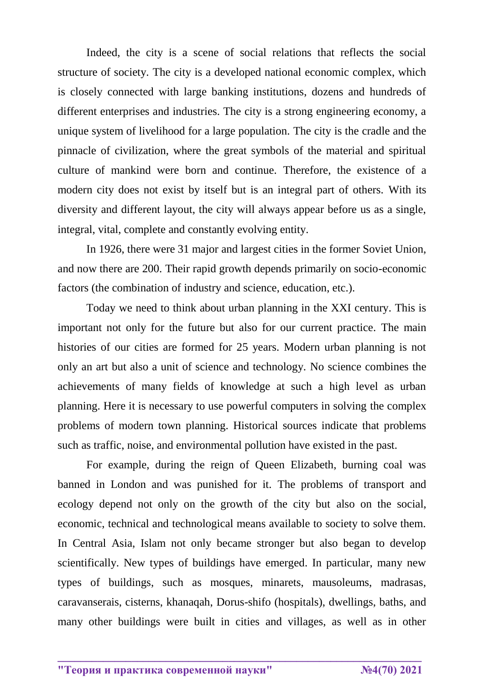Indeed, the city is a scene of social relations that reflects the social structure of society. The city is a developed national economic complex, which is closely connected with large banking institutions, dozens and hundreds of different enterprises and industries. The city is a strong engineering economy, a unique system of livelihood for a large population. The city is the cradle and the pinnacle of civilization, where the great symbols of the material and spiritual culture of mankind were born and continue. Therefore, the existence of a modern city does not exist by itself but is an integral part of others. With its diversity and different layout, the city will always appear before us as a single, integral, vital, complete and constantly evolving entity.

In 1926, there were 31 major and largest cities in the former Soviet Union, and now there are 200. Their rapid growth depends primarily on socio-economic factors (the combination of industry and science, education, etc.).

Today we need to think about urban planning in the XXI century. This is important not only for the future but also for our current practice. The main histories of our cities are formed for 25 years. Modern urban planning is not only an art but also a unit of science and technology. No science combines the achievements of many fields of knowledge at such a high level as urban planning. Here it is necessary to use powerful computers in solving the complex problems of modern town planning. Historical sources indicate that problems such as traffic, noise, and environmental pollution have existed in the past.

For example, during the reign of Queen Elizabeth, burning coal was banned in London and was punished for it. The problems of transport and ecology depend not only on the growth of the city but also on the social, economic, technical and technological means available to society to solve them. In Central Asia, Islam not only became stronger but also began to develop scientifically. New types of buildings have emerged. In particular, many new types of buildings, such as mosques, minarets, mausoleums, madrasas, caravanserais, cisterns, khanaqah, Dorus-shifo (hospitals), dwellings, baths, and many other buildings were built in cities and villages, as well as in other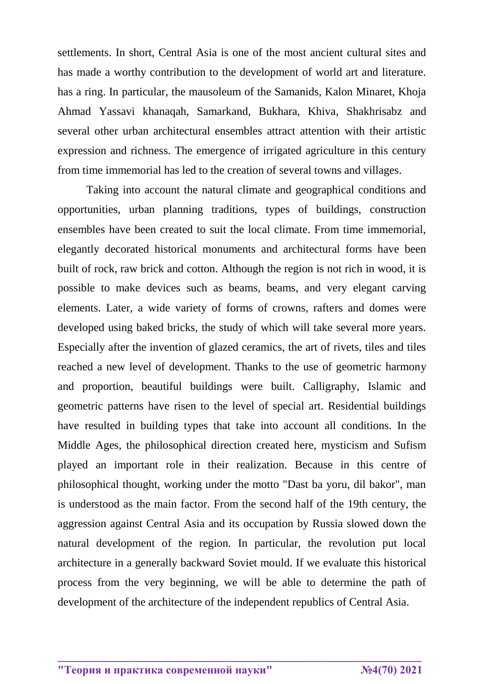settlements. In short, Central Asia is one of the most ancient cultural sites and has made a worthy contribution to the development of world art and literature. has a ring. In particular, the mausoleum of the Samanids, Kalon Minaret, Khoja Ahmad Yassavi khanaqah, Samarkand, Bukhara, Khiva, Shakhrisabz and several other urban architectural ensembles attract attention with their artistic expression and richness. The emergence of irrigated agriculture in this century from time immemorial has led to the creation of several towns and villages.

Taking into account the natural climate and geographical conditions and opportunities, urban planning traditions, types of buildings, construction ensembles have been created to suit the local climate. From time immemorial, elegantly decorated historical monuments and architectural forms have been built of rock, raw brick and cotton. Although the region is not rich in wood, it is possible to make devices such as beams, beams, and very elegant carving elements. Later, a wide variety of forms of crowns, rafters and domes were developed using baked bricks, the study of which will take several more years. Especially after the invention of glazed ceramics, the art of rivets, tiles and tiles reached a new level of development. Thanks to the use of geometric harmony and proportion, beautiful buildings were built. Calligraphy, Islamic and geometric patterns have risen to the level of special art. Residential buildings have resulted in building types that take into account all conditions. In the Middle Ages, the philosophical direction created here, mysticism and Sufism played an important role in their realization. Because in this centre of philosophical thought, working under the motto "Dast ba yoru, dil bakor", man is understood as the main factor. From the second half of the 19th century, the aggression against Central Asia and its occupation by Russia slowed down the natural development of the region. In particular, the revolution put local architecture in a generally backward Soviet mould. If we evaluate this historical process from the very beginning, we will be able to determine the path of development of the architecture of the independent republics of Central Asia.